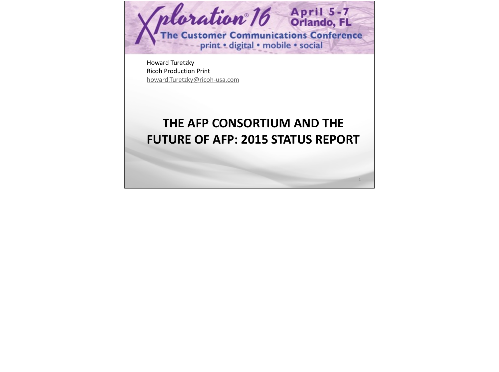

Ricoh Production Print [howard.Turetzky@ricoh-usa.com](mailto:howard.Turetzky@ricoh-usa.com)

## **THE AFP CONSORTIUM AND THE FUTURE OF AFP: 2015 STATUS REPORT**

1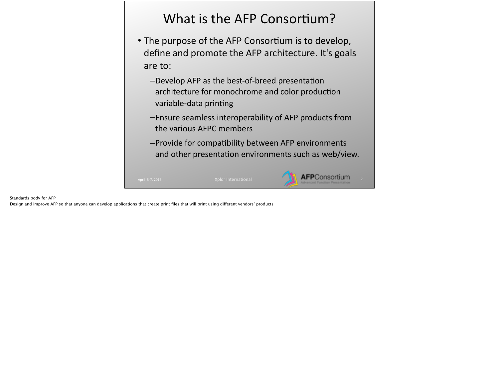# What is the AFP Consortium?

- The purpose of the AFP Consortium is to develop, define and promote the AFP architecture. It's goals are to:
	- -Develop AFP as the best-of-breed presentation architecture for monochrome and color production variable-data printing
	- –Ensure seamless interoperability of AFP products from the various AFPC members
	- -Provide for compatibility between AFP environments and other presentation environments such as web/view.



#### Standards body for AFP

Design and improve AFP so that anyone can develop applications that create print files that will print using diferent vendors' products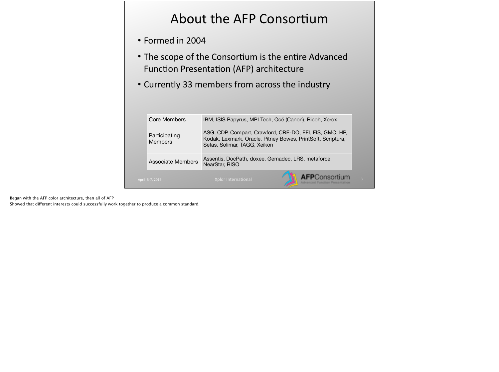# About the AFP Consortium

- Formed in 2004
- The scope of the Consortium is the entire Advanced Function Presentation (AFP) architecture
- Currently 33 members from across the industry

| <b>Associate Members</b><br>April 5-7, 2016 | NearStar, RISO<br>Xplor International                                                                                                                                                                        |  | <b>AFP</b> Consortium |
|---------------------------------------------|--------------------------------------------------------------------------------------------------------------------------------------------------------------------------------------------------------------|--|-----------------------|
| Participating<br><b>Members</b>             | ASG, CDP, Compart, Crawford, CRE-DO, EFI, FIS, GMC, HP,<br>Kodak, Lexmark, Oracle, Pitney Bowes, PrintSoft, Scriptura,<br>Sefas, Solimar, TAGG, Xeikon<br>Assentis, DocPath, doxee, Gemadec, LRS, metaforce, |  |                       |
|                                             |                                                                                                                                                                                                              |  |                       |
| Core Members                                | IBM, ISIS Papyrus, MPI Tech, Océ (Canon), Ricoh, Xerox                                                                                                                                                       |  |                       |

Began with the AFP color architecture, then all of AFP

Showed that diferent interests could successfully work together to produce a common standard.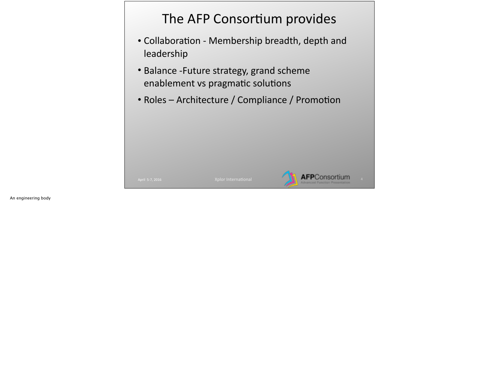# The AFP Consortium provides

- Collaboration Membership breadth, depth and leadership
- Balance -Future strategy, grand scheme enablement vs pragmatic solutions
- Roles Architecture / Compliance / Promotion

**AFP**Consortium

An engineering body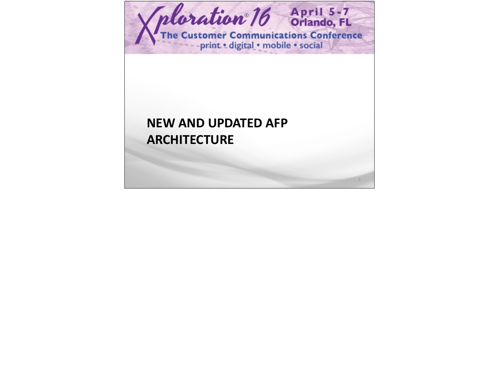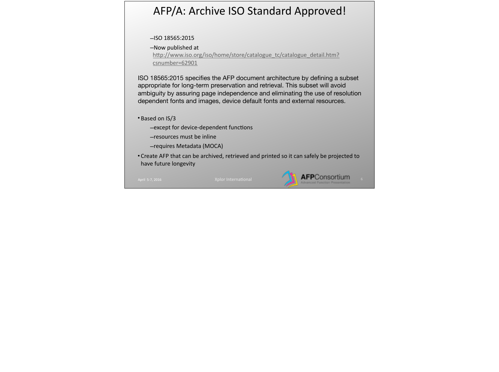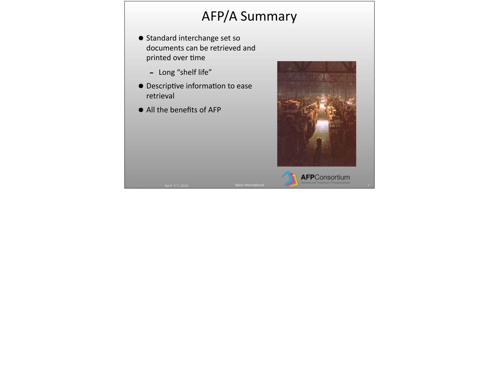# **AFP/A Summary**

- Standard interchange set so documents can be retrieved and printed over time
	- Long "shelf life"
- $\bullet$  Descriptive information to ease retrieval

April 5-7, 2016 April April 2004

• All the benefits of AFP

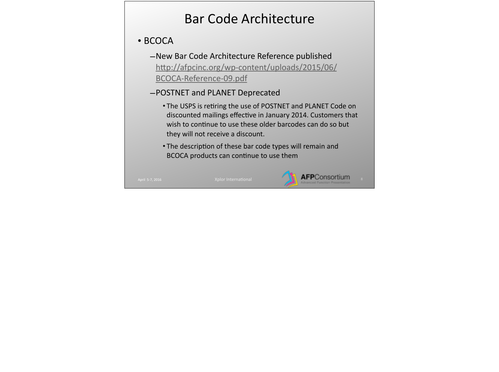# Bar Code Architecture

#### • BCOCA

- –New Bar Code Architecture Reference published http://afpcinc.org/wp-content/uploads/2015/06/ BCOCA-Reference-09.pdf
- –POSTNET and PLANET Deprecated
	- The USPS is retiring the use of POSTNET and PLANET Code on discounted mailings effective in January 2014. Customers that wish to continue to use these older barcodes can do so but they will not receive a discount.
	- The description of these bar code types will remain and BCOCA products can continue to use them

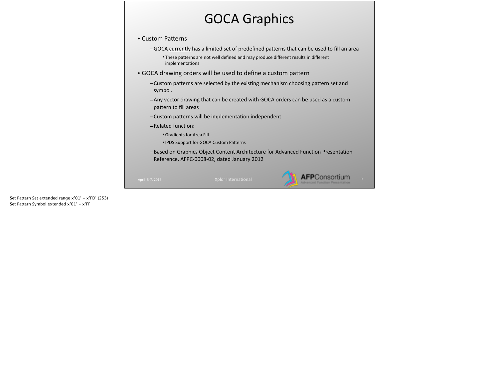## **GOCA Graphics**

• Custom Patterns

-GOCA currently has a limited set of predefined patterns that can be used to fill an area • These patterns are not well defined and may produce different results in different implementations

• GOCA drawing orders will be used to define a custom pattern

 $-$ Custom patterns are selected by the existing mechanism choosing pattern set and symbol. 

-Any vector drawing that can be created with GOCA orders can be used as a custom pattern to fill areas

-Custom patterns will be implementation independent

–Related function:

• Gradients for Area Fill

• IPDS Support for GOCA Custom Patterns

-Based on Graphics Object Content Architecture for Advanced Function Presentation Reference, AFPC-0008-02, dated January 2012

**AFP**Consortium

Set Pattern Set extended range x'01' - x'FD' (253) Set Pattern Symbol extended x'01' - x'FF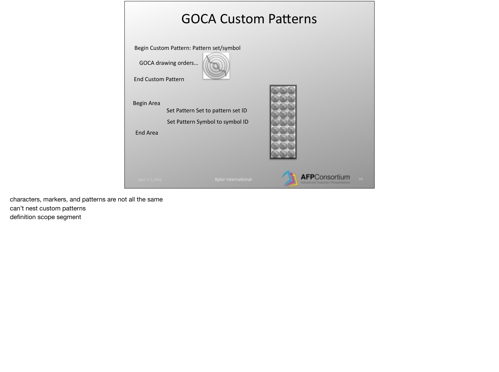

characters, markers, and patterns are not all the same can't nest custom patterns definition scope segment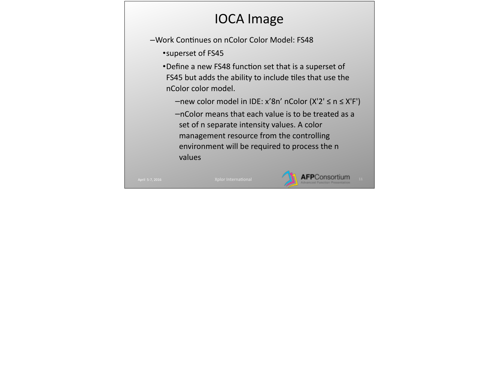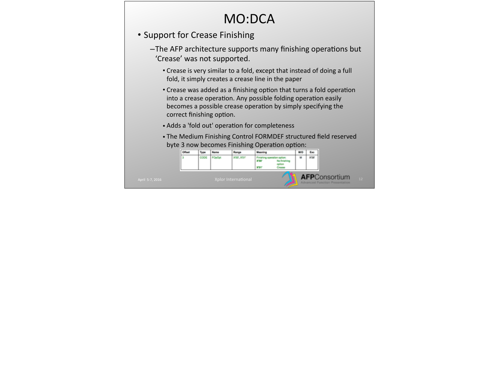## MO:DCA

- Support for Crease Finishing
	- -The AFP architecture supports many finishing operations but 'Crease' was not supported.
		- Crease is very similar to a fold, except that instead of doing a full fold, it simply creates a crease line in the paper
		- Crease was added as a finishing option that turns a fold operation into a crease operation. Any possible folding operation easily becomes a possible crease operation by simply specifying the correct finishing option.
		- Adds a 'fold out' operation for completeness
		- The Medium Finishing Control FORMDEF structured field reserved byte 3 now becomes Finishing Operation option:

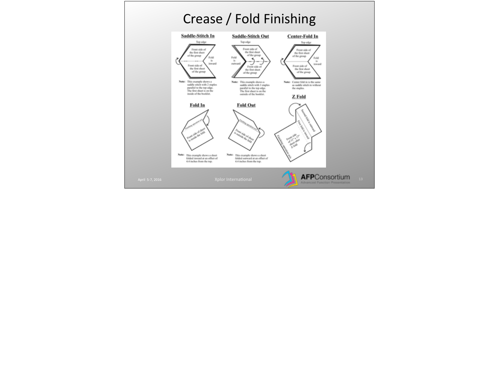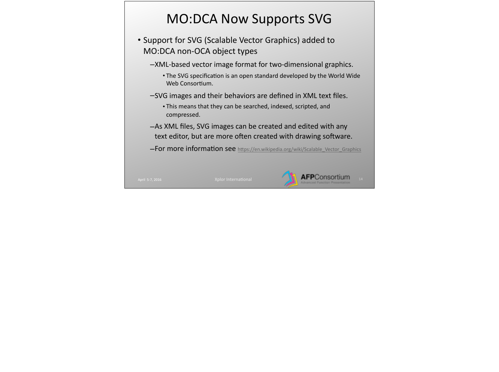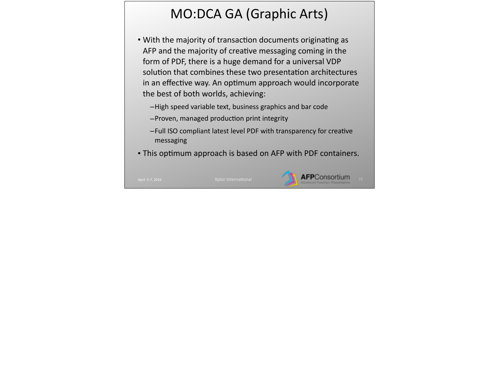# MO:DCA GA (Graphic Arts)

- With the majority of transaction documents originating as AFP and the majority of creative messaging coming in the form of PDF, there is a huge demand for a universal VDP solution that combines these two presentation architectures in an effective way. An optimum approach would incorporate the best of both worlds, achieving:
	- –High speed variable text, business graphics and bar code
	- -Proven, managed production print integrity
	- -Full ISO compliant latest level PDF with transparency for creative messaging
- This optimum approach is based on AFP with PDF containers.

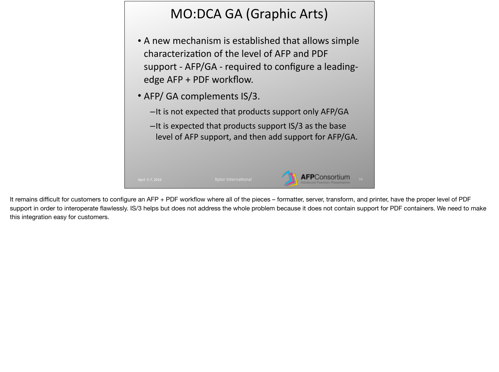# MO:DCA GA (Graphic Arts)

- A new mechanism is established that allows simple characterization of the level of AFP and PDF support - AFP/GA - required to configure a leadingedge AFP + PDF workflow.
- AFP/ GA complements IS/3.
	- -It is not expected that products support only AFP/GA
	- $-$ It is expected that products support IS/3 as the base level of AFP support, and then add support for AFP/GA.

It remains difficult for customers to configure an AFP + PDF workflow where all of the pieces – formatter, server, transform, and printer, have the proper level of PDF support in order to interoperate flawlessly. IS/3 helps but does not address the whole problem because it does not contain support for PDF containers. We need to make this integration easy for customers.

**AFP**Consortium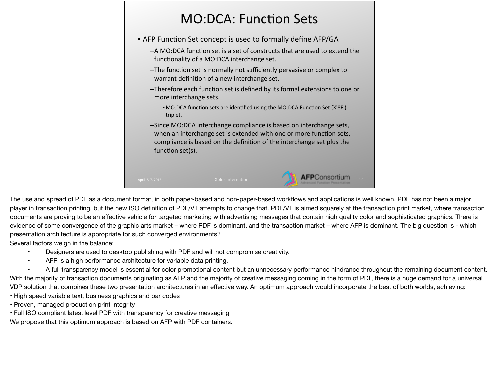|                        |                                              | • AFP Function Set concept is used to formally define AFP/GA                                                                                                                                                       |
|------------------------|----------------------------------------------|--------------------------------------------------------------------------------------------------------------------------------------------------------------------------------------------------------------------|
|                        | functionality of a MO:DCA interchange set.   | -A MO:DCA function set is a set of constructs that are used to extend the                                                                                                                                          |
|                        | warrant definition of a new interchange set. | -The function set is normally not sufficiently pervasive or complex to                                                                                                                                             |
| more interchange sets. |                                              | -Therefore each function set is defined by its formal extensions to one or                                                                                                                                         |
| triplet.               |                                              | • MO:DCA function sets are identified using the MO:DCA Function Set (X'8F')                                                                                                                                        |
| function set(s).       |                                              | -Since MO:DCA interchange compliance is based on interchange sets,<br>when an interchange set is extended with one or more function sets,<br>compliance is based on the definition of the interchange set plus the |

The use and spread of PDF as a document format, in both paper-based and non-paper-based workflows and applications is well known. PDF has not been a major player in transaction printing, but the new ISO definition of PDF/VT attempts to change that. PDF/VT is aimed squarely at the transaction print market, where transaction documents are proving to be an effective vehicle for targeted marketing with advertising messages that contain high quality color and sophisticated graphics. There is evidence of some convergence of the graphic arts market – where PDF is dominant, and the transaction market – where AFP is dominant. The big question is - which presentation architecture is appropriate for such converged environments?

Several factors weigh in the balance:

- Designers are used to desktop publishing with PDF and will not compromise creativity.
- AFP is a high performance architecture for variable data printing.

A full transparency model is essential for color promotional content but an unnecessary performance hindrance throughout the remaining document content. With the majority of transaction documents originating as AFP and the majority of creative messaging coming in the form of PDF, there is a huge demand for a universal VDP solution that combines these two presentation architectures in an effective way. An optimum approach would incorporate the best of both worlds, achieving:

• High speed variable text, business graphics and bar codes

- Proven, managed production print integrity
- Full ISO compliant latest level PDF with transparency for creative messaging

We propose that this optimum approach is based on AFP with PDF containers.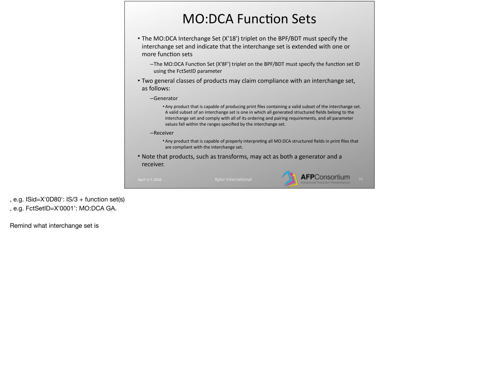# **MO:DCA Function Sets**

- The MO:DCA Interchange Set (X'18') triplet on the BPF/BDT must specify the interchange set and indicate that the interchange set is extended with one or more function sets
	- $-$ The MO:DCA Function Set (X'8F') triplet on the BPF/BDT must specify the function set ID using the FctSetID parameter
- Two general classes of products may claim compliance with an interchange set, as follows:
	- –Generator
		- Any product that is capable of producing print files containing a valid subset of the interchange set. A valid subset of an interchange set is one in which all generated structured fields belong to the interchange set and comply with all of its ordering and pairing requirements, and all parameter values fall within the ranges specified by the interchange set.
	- –Receiver
		- Any product that is capable of properly interpreting all MO:DCA structured fields in print files that are compliant with the interchange set.
- Note that products, such as transforms, may act as both a generator and a receiver.



, e.g.  $ISid = X'0D80'$ :  $IS/3 +$  function set(s) , e.g. FctSetID=X'0001': MO:DCA GA.

Remind what interchange set is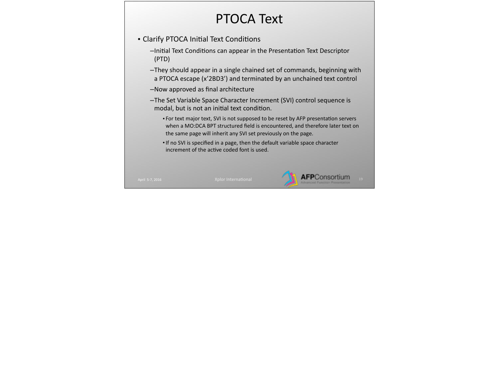## PTOCA Text

- Clarify PTOCA Initial Text Conditions
	- $-$ Initial Text Conditions can appear in the Presentation Text Descriptor (PTD)
	- –They should appear in a single chained set of commands, beginning with a PTOCA escape (x'2BD3') and terminated by an unchained text control
	- –Now approved as final architecture
	- -The Set Variable Space Character Increment (SVI) control sequence is modal, but is not an initial text condition.
		- For text major text, SVI is not supposed to be reset by AFP presentation servers when a MO:DCA BPT structured field is encountered, and therefore later text on the same page will inherit any SVI set previously on the page.
		- If no SVI is specified in a page, then the default variable space character increment of the active coded font is used.

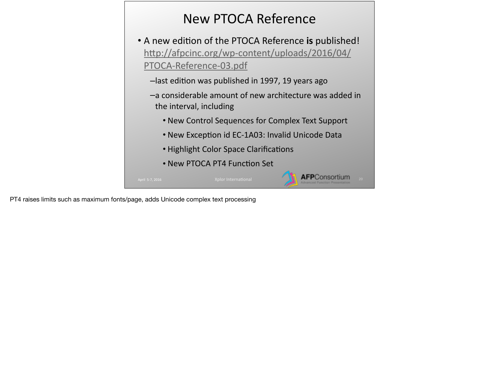# New PTOCA Reference

- A new edition of the PTOCA Reference is published! http://afpcinc.org/wp-content/uploads/2016/04/ PTOCA-Reference-03.pdf
	- -last edition was published in 1997, 19 years ago
	- $-$ a considerable amount of new architecture was added in the interval, including
		- New Control Sequences for Complex Text Support
		- New Exception id EC-1A03: Invalid Unicode Data

**AFP**Consortium

- Highlight Color Space Clarifications
- New PTOCA PT4 Function Set

PT4 raises limits such as maximum fonts/page, adds Unicode complex text processing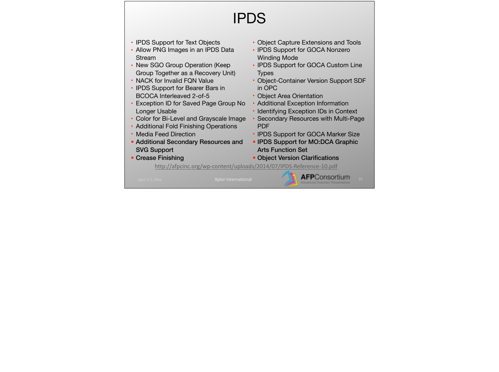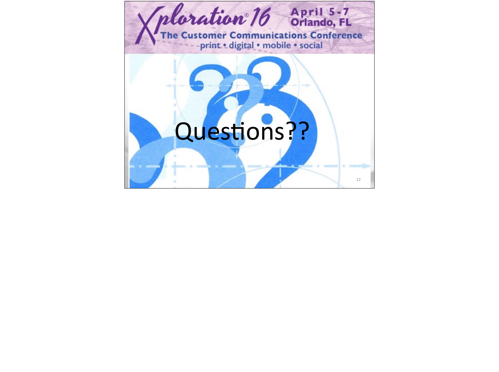